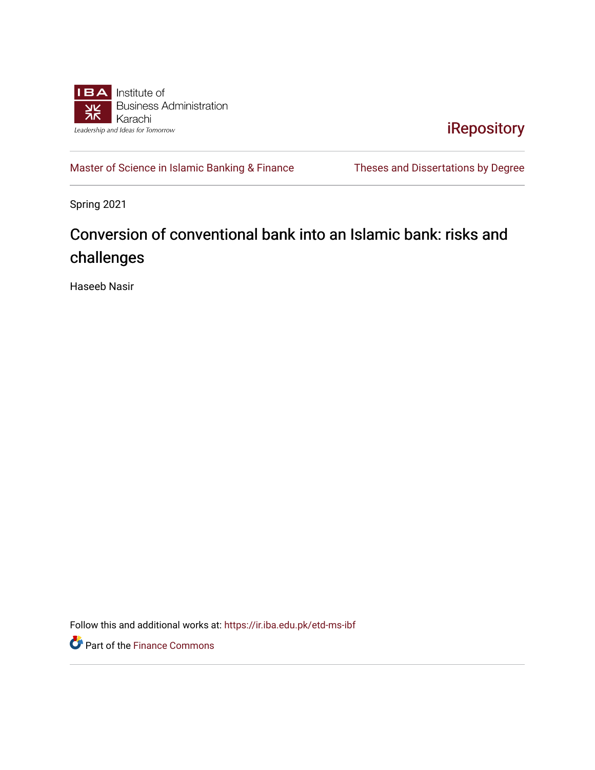

[iRepository](https://ir.iba.edu.pk/) 

[Master of Science in Islamic Banking & Finance](https://ir.iba.edu.pk/etd-ms-ibf) Theses and Dissertations by Degree

Spring 2021

## Conversion of conventional bank into an Islamic bank: risks and challenges

Haseeb Nasir

Follow this and additional works at: [https://ir.iba.edu.pk/etd-ms-ibf](https://ir.iba.edu.pk/etd-ms-ibf?utm_source=ir.iba.edu.pk%2Fetd-ms-ibf%2F12&utm_medium=PDF&utm_campaign=PDFCoverPages)

Part of the [Finance Commons](http://network.bepress.com/hgg/discipline/345?utm_source=ir.iba.edu.pk%2Fetd-ms-ibf%2F12&utm_medium=PDF&utm_campaign=PDFCoverPages)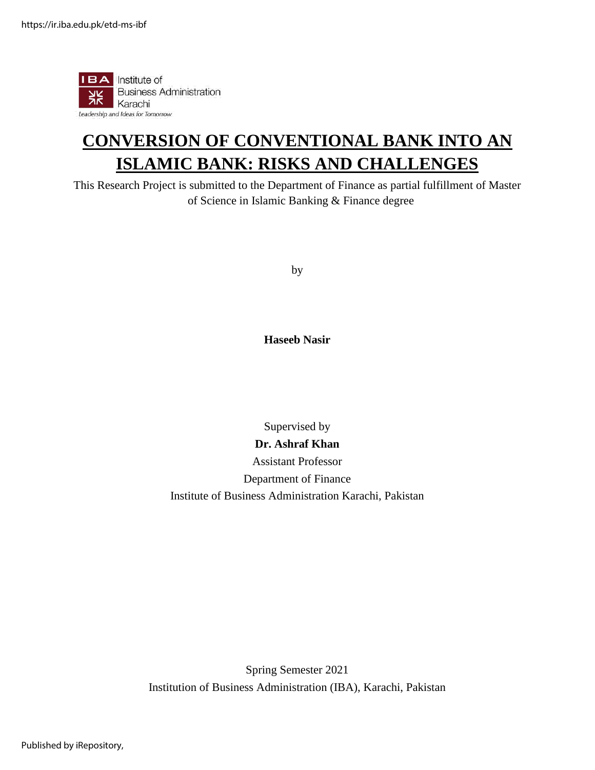

## **CONVERSION OF CONVENTIONAL BANK INTO AN ISLAMIC BANK: RISKS AND CHALLENGES**

This Research Project is submitted to the Department of Finance as partial fulfillment of Master of Science in Islamic Banking & Finance degree

by

**Haseeb Nasir**

Supervised by **Dr. Ashraf Khan** Assistant Professor Department of Finance Institute of Business Administration Karachi, Pakistan

Spring Semester 2021 Institution of Business Administration (IBA), Karachi, Pakistan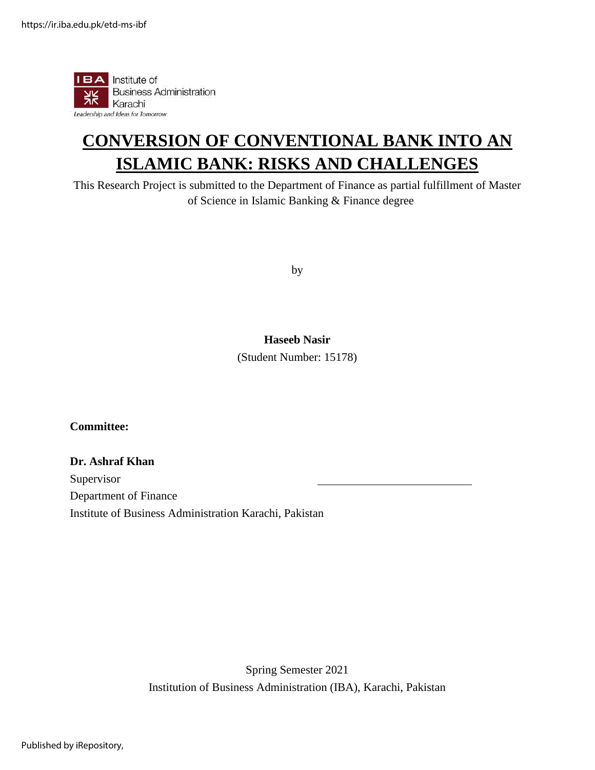

## **CONVERSION OF CONVENTIONAL BANK INTO AN ISLAMIC BANK: RISKS AND CHALLENGES**

This Research Project is submitted to the Department of Finance as partial fulfillment of Master of Science in Islamic Banking & Finance degree

by

#### **Haseeb Nasir**

(Student Number: 15178)

**Committee:**

#### **Dr. Ashraf Khan**

Supervisor Department of Finance Institute of Business Administration Karachi, Pakistan

> Spring Semester 2021 Institution of Business Administration (IBA), Karachi, Pakistan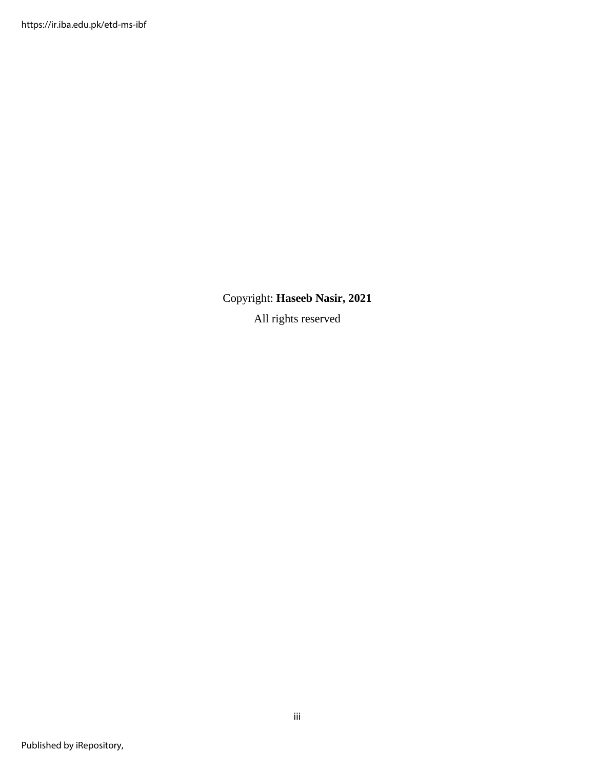Copyright: **Haseeb Nasir, 2021** All rights reserved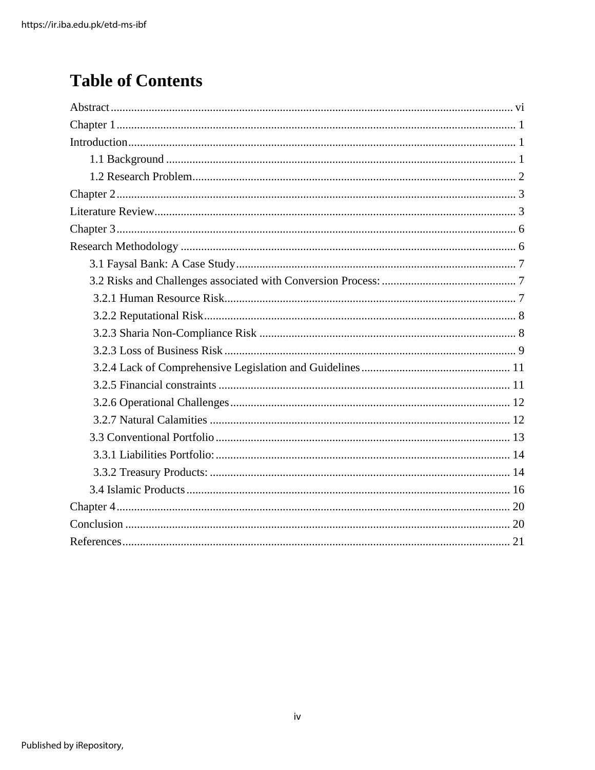## **Table of Contents**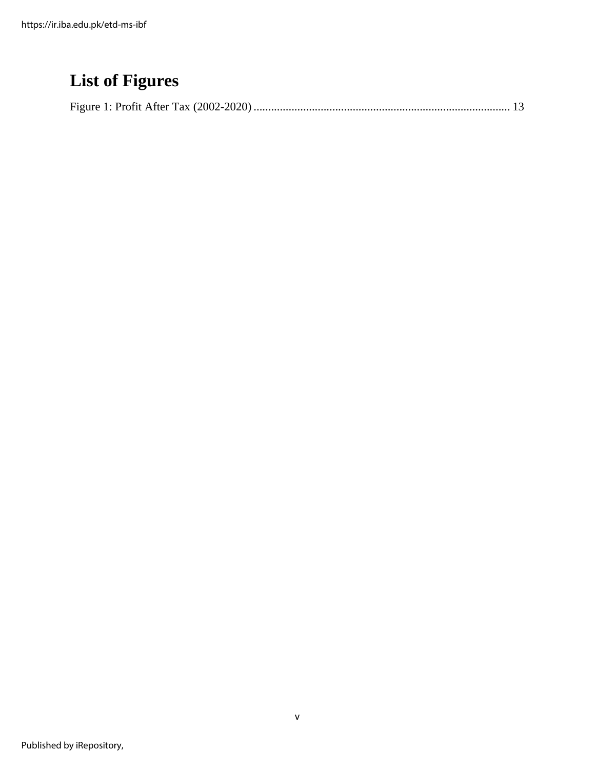## **List of Figures**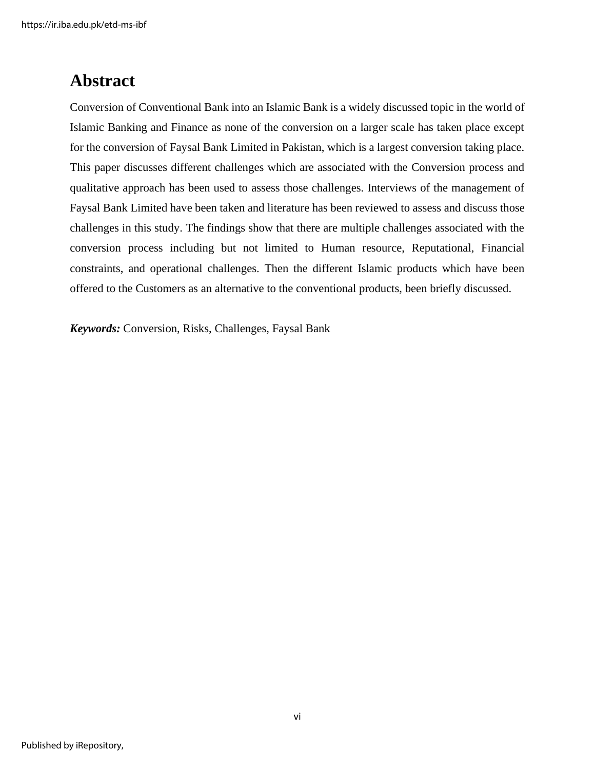### <span id="page-6-0"></span>**Abstract**

Conversion of Conventional Bank into an Islamic Bank is a widely discussed topic in the world of Islamic Banking and Finance as none of the conversion on a larger scale has taken place except for the conversion of Faysal Bank Limited in Pakistan, which is a largest conversion taking place. This paper discusses different challenges which are associated with the Conversion process and qualitative approach has been used to assess those challenges. Interviews of the management of Faysal Bank Limited have been taken and literature has been reviewed to assess and discuss those challenges in this study. The findings show that there are multiple challenges associated with the conversion process including but not limited to Human resource, Reputational, Financial constraints, and operational challenges. Then the different Islamic products which have been offered to the Customers as an alternative to the conventional products, been briefly discussed.

*Keywords:* Conversion, Risks, Challenges, Faysal Bank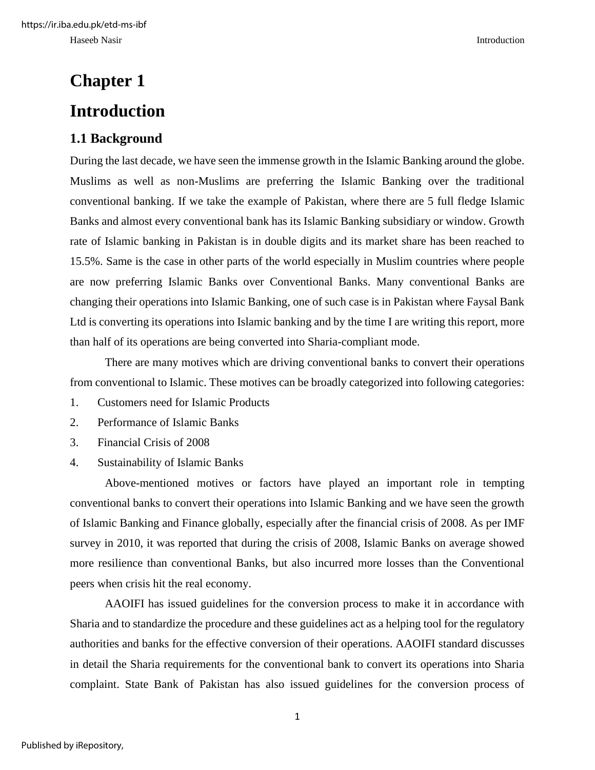# <span id="page-7-1"></span><span id="page-7-0"></span>**Chapter 1 Introduction**

### <span id="page-7-2"></span>**1.1 Background**

During the last decade, we have seen the immense growth in the Islamic Banking around the globe. Muslims as well as non-Muslims are preferring the Islamic Banking over the traditional conventional banking. If we take the example of Pakistan, where there are 5 full fledge Islamic Banks and almost every conventional bank has its Islamic Banking subsidiary or window. Growth rate of Islamic banking in Pakistan is in double digits and its market share has been reached to 15.5%. Same is the case in other parts of the world especially in Muslim countries where people are now preferring Islamic Banks over Conventional Banks. Many conventional Banks are changing their operations into Islamic Banking, one of such case is in Pakistan where Faysal Bank Ltd is converting its operations into Islamic banking and by the time I are writing this report, more than half of its operations are being converted into Sharia-compliant mode.

There are many motives which are driving conventional banks to convert their operations from conventional to Islamic. These motives can be broadly categorized into following categories:

- 1. Customers need for Islamic Products
- 2. Performance of Islamic Banks
- 3. Financial Crisis of 2008
- 4. Sustainability of Islamic Banks

Above-mentioned motives or factors have played an important role in tempting conventional banks to convert their operations into Islamic Banking and we have seen the growth of Islamic Banking and Finance globally, especially after the financial crisis of 2008. As per IMF survey in 2010, it was reported that during the crisis of 2008, Islamic Banks on average showed more resilience than conventional Banks, but also incurred more losses than the Conventional peers when crisis hit the real economy.

AAOIFI has issued guidelines for the conversion process to make it in accordance with Sharia and to standardize the procedure and these guidelines act as a helping tool for the regulatory authorities and banks for the effective conversion of their operations. AAOIFI standard discusses in detail the Sharia requirements for the conventional bank to convert its operations into Sharia complaint. State Bank of Pakistan has also issued guidelines for the conversion process of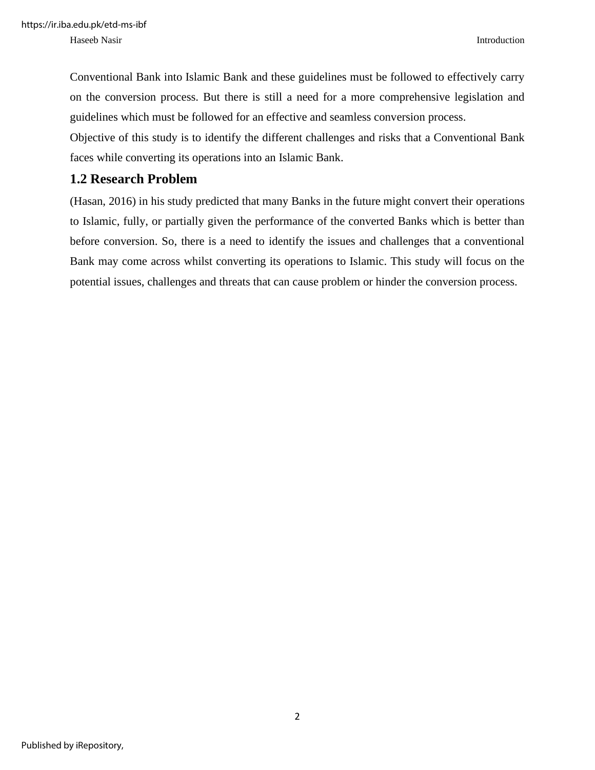Haseeb Nasir Introduction and the set of the set of the set of the set of the set of the set of the set of the set of the set of the set of the set of the set of the set of the set of the set of the set of the set of the s

Conventional Bank into Islamic Bank and these guidelines must be followed to effectively carry on the conversion process. But there is still a need for a more comprehensive legislation and guidelines which must be followed for an effective and seamless conversion process.

Objective of this study is to identify the different challenges and risks that a Conventional Bank faces while converting its operations into an Islamic Bank.

### <span id="page-8-0"></span>**1.2 Research Problem**

(Hasan, 2016) in his study predicted that many Banks in the future might convert their operations to Islamic, fully, or partially given the performance of the converted Banks which is better than before conversion. So, there is a need to identify the issues and challenges that a conventional Bank may come across whilst converting its operations to Islamic. This study will focus on the potential issues, challenges and threats that can cause problem or hinder the conversion process.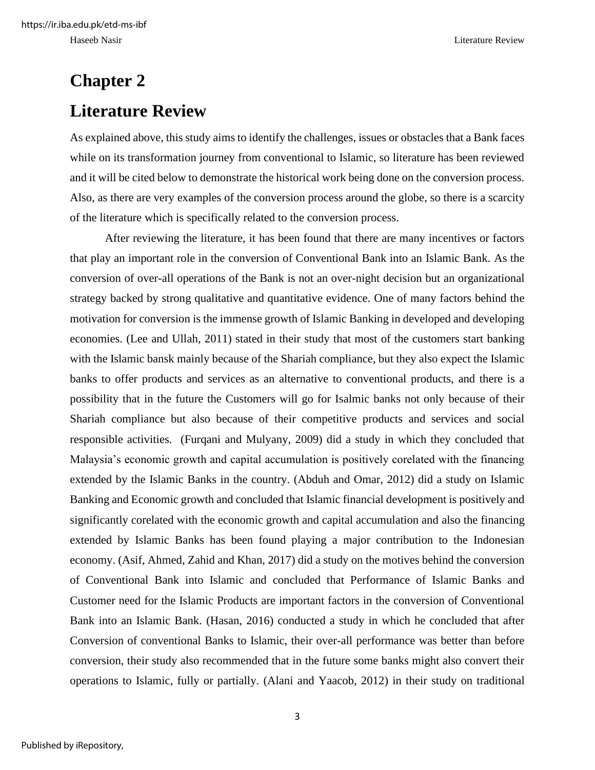# <span id="page-9-1"></span><span id="page-9-0"></span>**Chapter 2 Literature Review**

As explained above, this study aims to identify the challenges, issues or obstacles that a Bank faces while on its transformation journey from conventional to Islamic, so literature has been reviewed and it will be cited below to demonstrate the historical work being done on the conversion process. Also, as there are very examples of the conversion process around the globe, so there is a scarcity of the literature which is specifically related to the conversion process.

After reviewing the literature, it has been found that there are many incentives or factors that play an important role in the conversion of Conventional Bank into an Islamic Bank. As the conversion of over-all operations of the Bank is not an over-night decision but an organizational strategy backed by strong qualitative and quantitative evidence. One of many factors behind the motivation for conversion is the immense growth of Islamic Banking in developed and developing economies. (Lee and Ullah, 2011) stated in their study that most of the customers start banking with the Islamic bansk mainly because of the Shariah compliance, but they also expect the Islamic banks to offer products and services as an alternative to conventional products, and there is a possibility that in the future the Customers will go for Isalmic banks not only because of their Shariah compliance but also because of their competitive products and services and social responsible activities. (Furqani and Mulyany, 2009) did a study in which they concluded that Malaysia's economic growth and capital accumulation is positively corelated with the financing extended by the Islamic Banks in the country. (Abduh and Omar, 2012) did a study on Islamic Banking and Economic growth and concluded that Islamic financial development is positively and significantly corelated with the economic growth and capital accumulation and also the financing extended by Islamic Banks has been found playing a major contribution to the Indonesian economy. (Asif, Ahmed, Zahid and Khan, 2017) did a study on the motives behind the conversion of Conventional Bank into Islamic and concluded that Performance of Islamic Banks and Customer need for the Islamic Products are important factors in the conversion of Conventional Bank into an Islamic Bank. (Hasan, 2016) conducted a study in which he concluded that after Conversion of conventional Banks to Islamic, their over-all performance was better than before conversion, their study also recommended that in the future some banks might also convert their operations to Islamic, fully or partially. (Alani and Yaacob, 2012) in their study on traditional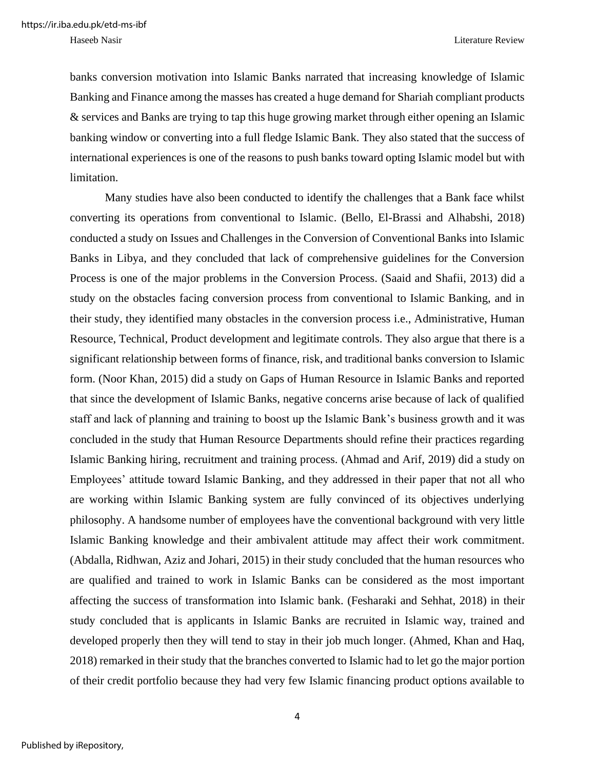banks conversion motivation into Islamic Banks narrated that increasing knowledge of Islamic Banking and Finance among the masses has created a huge demand for Shariah compliant products & services and Banks are trying to tap this huge growing market through either opening an Islamic banking window or converting into a full fledge Islamic Bank. They also stated that the success of international experiences is one of the reasons to push banks toward opting Islamic model but with limitation.

Many studies have also been conducted to identify the challenges that a Bank face whilst converting its operations from conventional to Islamic. (Bello, El-Brassi and Alhabshi, 2018) conducted a study on Issues and Challenges in the Conversion of Conventional Banks into Islamic Banks in Libya, and they concluded that lack of comprehensive guidelines for the Conversion Process is one of the major problems in the Conversion Process. (Saaid and Shafii, 2013) did a study on the obstacles facing conversion process from conventional to Islamic Banking, and in their study, they identified many obstacles in the conversion process i.e., Administrative, Human Resource, Technical, Product development and legitimate controls. They also argue that there is a significant relationship between forms of finance, risk, and traditional banks conversion to Islamic form. (Noor Khan, 2015) did a study on Gaps of Human Resource in Islamic Banks and reported that since the development of Islamic Banks, negative concerns arise because of lack of qualified staff and lack of planning and training to boost up the Islamic Bank's business growth and it was concluded in the study that Human Resource Departments should refine their practices regarding Islamic Banking hiring, recruitment and training process. (Ahmad and Arif, 2019) did a study on Employees' attitude toward Islamic Banking, and they addressed in their paper that not all who are working within Islamic Banking system are fully convinced of its objectives underlying philosophy. A handsome number of employees have the conventional background with very little Islamic Banking knowledge and their ambivalent attitude may affect their work commitment. (Abdalla, Ridhwan, Aziz and Johari, 2015) in their study concluded that the human resources who are qualified and trained to work in Islamic Banks can be considered as the most important affecting the success of transformation into Islamic bank. (Fesharaki and Sehhat, 2018) in their study concluded that is applicants in Islamic Banks are recruited in Islamic way, trained and developed properly then they will tend to stay in their job much longer. (Ahmed, Khan and Haq, 2018) remarked in their study that the branches converted to Islamic had to let go the major portion of their credit portfolio because they had very few Islamic financing product options available to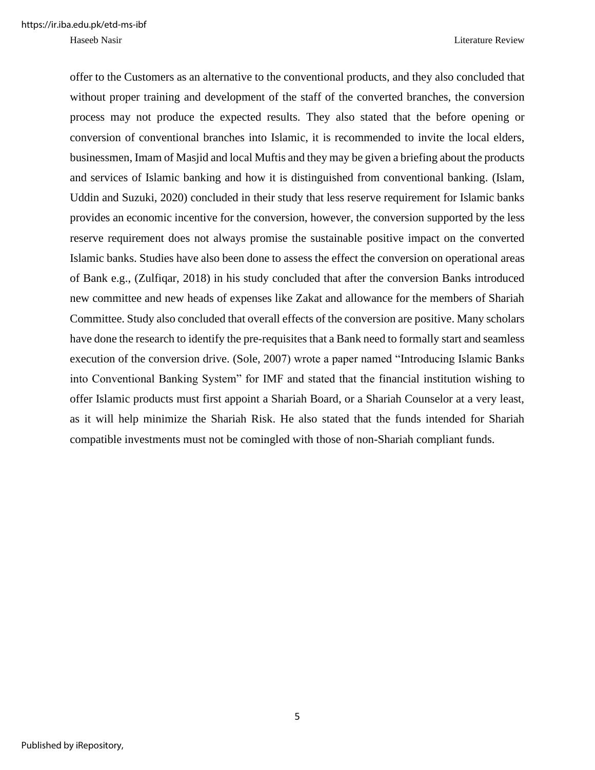offer to the Customers as an alternative to the conventional products, and they also concluded that without proper training and development of the staff of the converted branches, the conversion process may not produce the expected results. They also stated that the before opening or conversion of conventional branches into Islamic, it is recommended to invite the local elders, businessmen, Imam of Masjid and local Muftis and they may be given a briefing about the products and services of Islamic banking and how it is distinguished from conventional banking. (Islam, Uddin and Suzuki, 2020) concluded in their study that less reserve requirement for Islamic banks provides an economic incentive for the conversion, however, the conversion supported by the less reserve requirement does not always promise the sustainable positive impact on the converted Islamic banks. Studies have also been done to assess the effect the conversion on operational areas of Bank e.g., (Zulfiqar, 2018) in his study concluded that after the conversion Banks introduced new committee and new heads of expenses like Zakat and allowance for the members of Shariah Committee. Study also concluded that overall effects of the conversion are positive. Many scholars have done the research to identify the pre-requisites that a Bank need to formally start and seamless execution of the conversion drive. (Sole, 2007) wrote a paper named "Introducing Islamic Banks into Conventional Banking System" for IMF and stated that the financial institution wishing to offer Islamic products must first appoint a Shariah Board, or a Shariah Counselor at a very least, as it will help minimize the Shariah Risk. He also stated that the funds intended for Shariah compatible investments must not be comingled with those of non-Shariah compliant funds.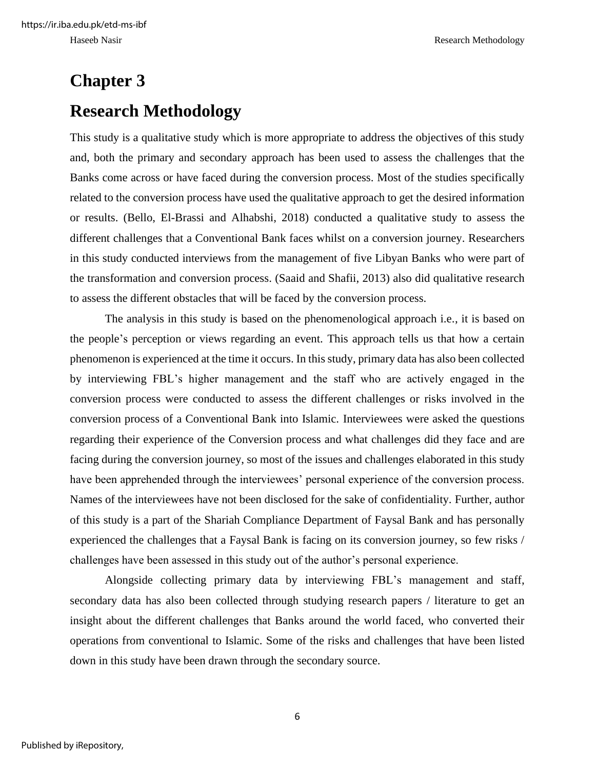## <span id="page-12-1"></span><span id="page-12-0"></span>**Chapter 3 Research Methodology**

This study is a qualitative study which is more appropriate to address the objectives of this study and, both the primary and secondary approach has been used to assess the challenges that the Banks come across or have faced during the conversion process. Most of the studies specifically related to the conversion process have used the qualitative approach to get the desired information or results. (Bello, El-Brassi and Alhabshi, 2018) conducted a qualitative study to assess the different challenges that a Conventional Bank faces whilst on a conversion journey. Researchers in this study conducted interviews from the management of five Libyan Banks who were part of the transformation and conversion process. (Saaid and Shafii, 2013) also did qualitative research to assess the different obstacles that will be faced by the conversion process.

The analysis in this study is based on the phenomenological approach i.e., it is based on the people's perception or views regarding an event. This approach tells us that how a certain phenomenon is experienced at the time it occurs. In this study, primary data has also been collected by interviewing FBL's higher management and the staff who are actively engaged in the conversion process were conducted to assess the different challenges or risks involved in the conversion process of a Conventional Bank into Islamic. Interviewees were asked the questions regarding their experience of the Conversion process and what challenges did they face and are facing during the conversion journey, so most of the issues and challenges elaborated in this study have been apprehended through the interviewees' personal experience of the conversion process. Names of the interviewees have not been disclosed for the sake of confidentiality. Further, author of this study is a part of the Shariah Compliance Department of Faysal Bank and has personally experienced the challenges that a Faysal Bank is facing on its conversion journey, so few risks / challenges have been assessed in this study out of the author's personal experience.

Alongside collecting primary data by interviewing FBL's management and staff, secondary data has also been collected through studying research papers / literature to get an insight about the different challenges that Banks around the world faced, who converted their operations from conventional to Islamic. Some of the risks and challenges that have been listed down in this study have been drawn through the secondary source.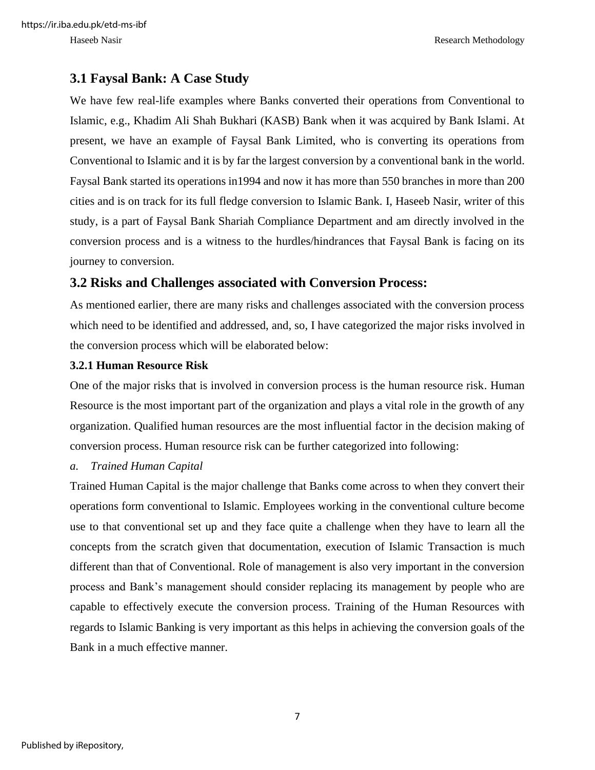### <span id="page-13-0"></span>**3.1 Faysal Bank: A Case Study**

We have few real-life examples where Banks converted their operations from Conventional to Islamic, e.g., Khadim Ali Shah Bukhari (KASB) Bank when it was acquired by Bank Islami. At present, we have an example of Faysal Bank Limited, who is converting its operations from Conventional to Islamic and it is by far the largest conversion by a conventional bank in the world. Faysal Bank started its operations in1994 and now it has more than 550 branches in more than 200 cities and is on track for its full fledge conversion to Islamic Bank. I, Haseeb Nasir, writer of this study, is a part of Faysal Bank Shariah Compliance Department and am directly involved in the conversion process and is a witness to the hurdles/hindrances that Faysal Bank is facing on its journey to conversion.

### <span id="page-13-1"></span>**3.2 Risks and Challenges associated with Conversion Process:**

As mentioned earlier, there are many risks and challenges associated with the conversion process which need to be identified and addressed, and, so, I have categorized the major risks involved in the conversion process which will be elaborated below:

#### <span id="page-13-2"></span>**3.2.1 Human Resource Risk**

One of the major risks that is involved in conversion process is the human resource risk. Human Resource is the most important part of the organization and plays a vital role in the growth of any organization. Qualified human resources are the most influential factor in the decision making of conversion process. Human resource risk can be further categorized into following:

#### *a. Trained Human Capital*

Trained Human Capital is the major challenge that Banks come across to when they convert their operations form conventional to Islamic. Employees working in the conventional culture become use to that conventional set up and they face quite a challenge when they have to learn all the concepts from the scratch given that documentation, execution of Islamic Transaction is much different than that of Conventional. Role of management is also very important in the conversion process and Bank's management should consider replacing its management by people who are capable to effectively execute the conversion process. Training of the Human Resources with regards to Islamic Banking is very important as this helps in achieving the conversion goals of the Bank in a much effective manner.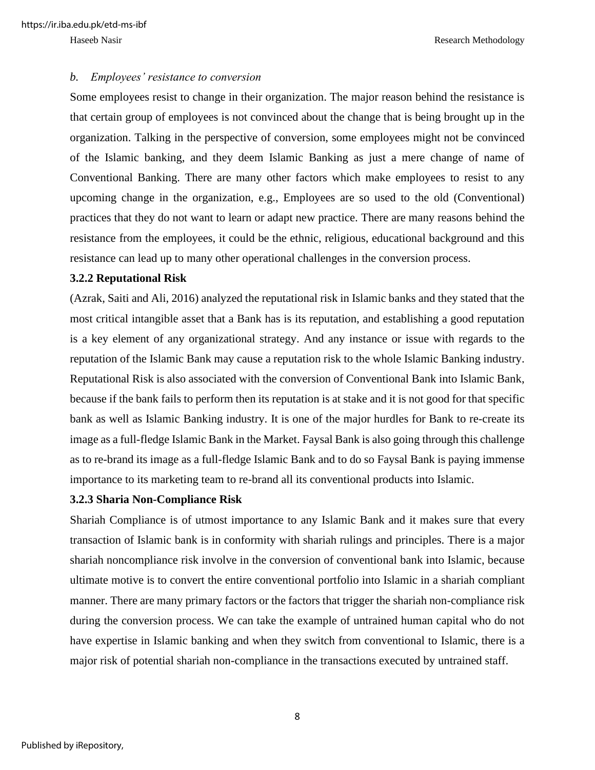#### *b. Employees' resistance to conversion*

Some employees resist to change in their organization. The major reason behind the resistance is that certain group of employees is not convinced about the change that is being brought up in the organization. Talking in the perspective of conversion, some employees might not be convinced of the Islamic banking, and they deem Islamic Banking as just a mere change of name of Conventional Banking. There are many other factors which make employees to resist to any upcoming change in the organization, e.g., Employees are so used to the old (Conventional) practices that they do not want to learn or adapt new practice. There are many reasons behind the resistance from the employees, it could be the ethnic, religious, educational background and this resistance can lead up to many other operational challenges in the conversion process.

#### <span id="page-14-0"></span>**3.2.2 Reputational Risk**

(Azrak, Saiti and Ali, 2016) analyzed the reputational risk in Islamic banks and they stated that the most critical intangible asset that a Bank has is its reputation, and establishing a good reputation is a key element of any organizational strategy. And any instance or issue with regards to the reputation of the Islamic Bank may cause a reputation risk to the whole Islamic Banking industry. Reputational Risk is also associated with the conversion of Conventional Bank into Islamic Bank, because if the bank fails to perform then its reputation is at stake and it is not good for that specific bank as well as Islamic Banking industry. It is one of the major hurdles for Bank to re-create its image as a full-fledge Islamic Bank in the Market. Faysal Bank is also going through this challenge as to re-brand its image as a full-fledge Islamic Bank and to do so Faysal Bank is paying immense importance to its marketing team to re-brand all its conventional products into Islamic.

#### <span id="page-14-1"></span>**3.2.3 Sharia Non-Compliance Risk**

Shariah Compliance is of utmost importance to any Islamic Bank and it makes sure that every transaction of Islamic bank is in conformity with shariah rulings and principles. There is a major shariah noncompliance risk involve in the conversion of conventional bank into Islamic, because ultimate motive is to convert the entire conventional portfolio into Islamic in a shariah compliant manner. There are many primary factors or the factors that trigger the shariah non-compliance risk during the conversion process. We can take the example of untrained human capital who do not have expertise in Islamic banking and when they switch from conventional to Islamic, there is a major risk of potential shariah non-compliance in the transactions executed by untrained staff.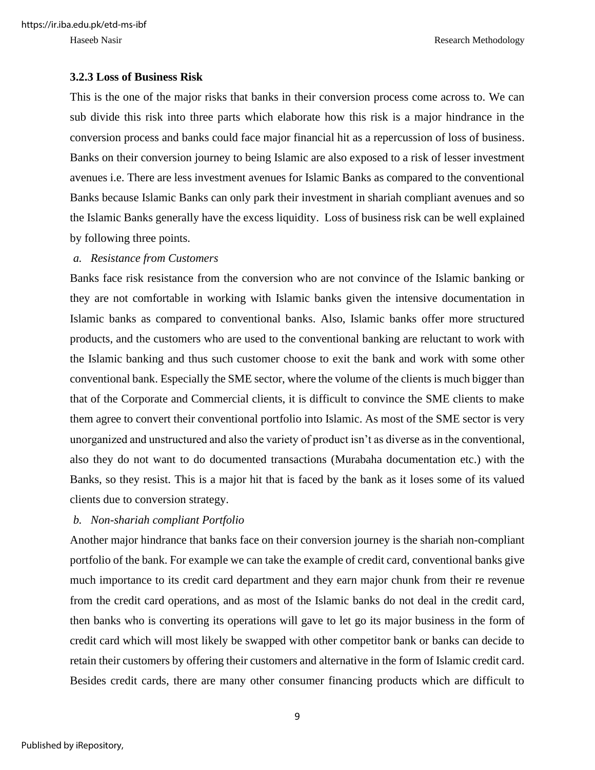https://ir.iba.edu.pk/etd-ms-ibf

Haseeb Nasir Research Methodology

#### <span id="page-15-0"></span>**3.2.3 Loss of Business Risk**

This is the one of the major risks that banks in their conversion process come across to. We can sub divide this risk into three parts which elaborate how this risk is a major hindrance in the conversion process and banks could face major financial hit as a repercussion of loss of business. Banks on their conversion journey to being Islamic are also exposed to a risk of lesser investment avenues i.e. There are less investment avenues for Islamic Banks as compared to the conventional Banks because Islamic Banks can only park their investment in shariah compliant avenues and so the Islamic Banks generally have the excess liquidity. Loss of business risk can be well explained by following three points.

#### *a. Resistance from Customers*

Banks face risk resistance from the conversion who are not convince of the Islamic banking or they are not comfortable in working with Islamic banks given the intensive documentation in Islamic banks as compared to conventional banks. Also, Islamic banks offer more structured products, and the customers who are used to the conventional banking are reluctant to work with the Islamic banking and thus such customer choose to exit the bank and work with some other conventional bank. Especially the SME sector, where the volume of the clients is much bigger than that of the Corporate and Commercial clients, it is difficult to convince the SME clients to make them agree to convert their conventional portfolio into Islamic. As most of the SME sector is very unorganized and unstructured and also the variety of product isn't as diverse as in the conventional, also they do not want to do documented transactions (Murabaha documentation etc.) with the Banks, so they resist. This is a major hit that is faced by the bank as it loses some of its valued clients due to conversion strategy.

#### *b. Non-shariah compliant Portfolio*

Another major hindrance that banks face on their conversion journey is the shariah non-compliant portfolio of the bank. For example we can take the example of credit card, conventional banks give much importance to its credit card department and they earn major chunk from their re revenue from the credit card operations, and as most of the Islamic banks do not deal in the credit card, then banks who is converting its operations will gave to let go its major business in the form of credit card which will most likely be swapped with other competitor bank or banks can decide to retain their customers by offering their customers and alternative in the form of Islamic credit card. Besides credit cards, there are many other consumer financing products which are difficult to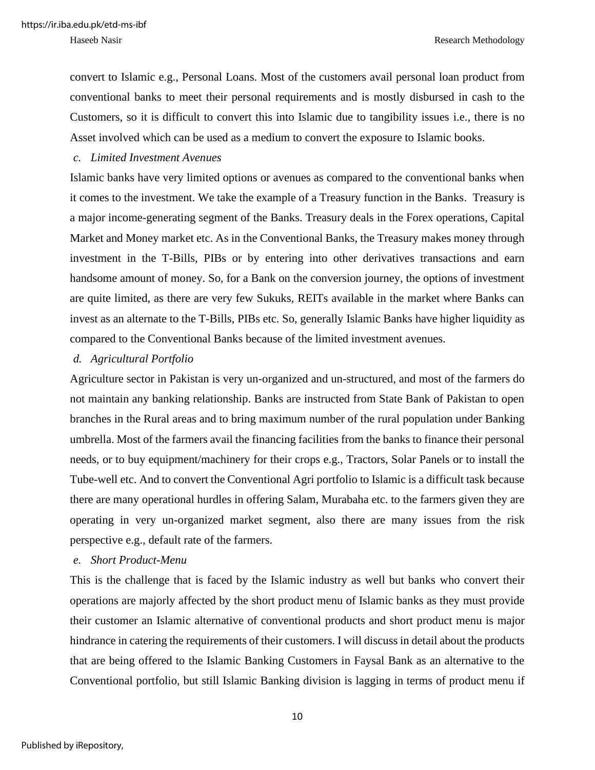convert to Islamic e.g., Personal Loans. Most of the customers avail personal loan product from conventional banks to meet their personal requirements and is mostly disbursed in cash to the Customers, so it is difficult to convert this into Islamic due to tangibility issues i.e., there is no Asset involved which can be used as a medium to convert the exposure to Islamic books.

#### *c. Limited Investment Avenues*

Islamic banks have very limited options or avenues as compared to the conventional banks when it comes to the investment. We take the example of a Treasury function in the Banks. Treasury is a major income-generating segment of the Banks. Treasury deals in the Forex operations, Capital Market and Money market etc. As in the Conventional Banks, the Treasury makes money through investment in the T-Bills, PIBs or by entering into other derivatives transactions and earn handsome amount of money. So, for a Bank on the conversion journey, the options of investment are quite limited, as there are very few Sukuks, REITs available in the market where Banks can invest as an alternate to the T-Bills, PIBs etc. So, generally Islamic Banks have higher liquidity as compared to the Conventional Banks because of the limited investment avenues.

#### *d. Agricultural Portfolio*

Agriculture sector in Pakistan is very un-organized and un-structured, and most of the farmers do not maintain any banking relationship. Banks are instructed from State Bank of Pakistan to open branches in the Rural areas and to bring maximum number of the rural population under Banking umbrella. Most of the farmers avail the financing facilities from the banks to finance their personal needs, or to buy equipment/machinery for their crops e.g., Tractors, Solar Panels or to install the Tube-well etc. And to convert the Conventional Agri portfolio to Islamic is a difficult task because there are many operational hurdles in offering Salam, Murabaha etc. to the farmers given they are operating in very un-organized market segment, also there are many issues from the risk perspective e.g., default rate of the farmers.

#### *e. Short Product-Menu*

This is the challenge that is faced by the Islamic industry as well but banks who convert their operations are majorly affected by the short product menu of Islamic banks as they must provide their customer an Islamic alternative of conventional products and short product menu is major hindrance in catering the requirements of their customers. I will discuss in detail about the products that are being offered to the Islamic Banking Customers in Faysal Bank as an alternative to the Conventional portfolio, but still Islamic Banking division is lagging in terms of product menu if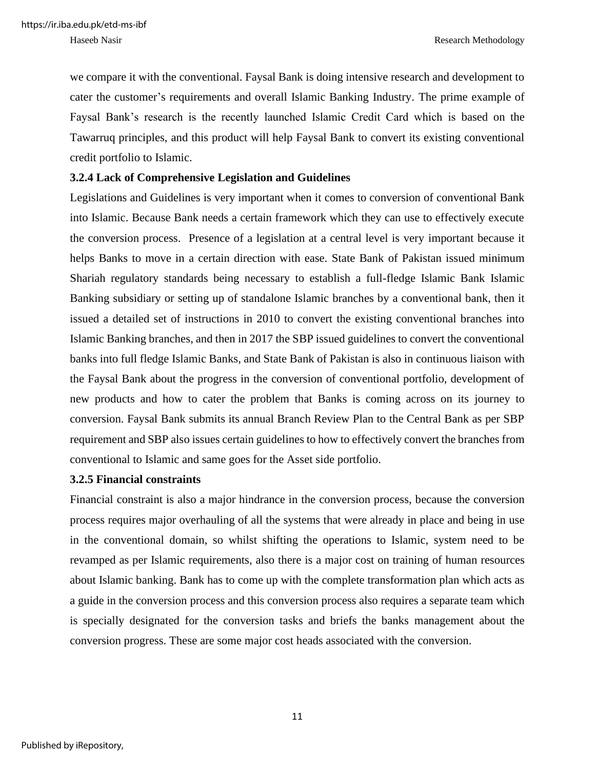we compare it with the conventional. Faysal Bank is doing intensive research and development to cater the customer's requirements and overall Islamic Banking Industry. The prime example of Faysal Bank's research is the recently launched Islamic Credit Card which is based on the Tawarruq principles, and this product will help Faysal Bank to convert its existing conventional credit portfolio to Islamic.

#### <span id="page-17-0"></span>**3.2.4 Lack of Comprehensive Legislation and Guidelines**

Legislations and Guidelines is very important when it comes to conversion of conventional Bank into Islamic. Because Bank needs a certain framework which they can use to effectively execute the conversion process. Presence of a legislation at a central level is very important because it helps Banks to move in a certain direction with ease. State Bank of Pakistan issued minimum Shariah regulatory standards being necessary to establish a full-fledge Islamic Bank Islamic Banking subsidiary or setting up of standalone Islamic branches by a conventional bank, then it issued a detailed set of instructions in 2010 to convert the existing conventional branches into Islamic Banking branches, and then in 2017 the SBP issued guidelines to convert the conventional banks into full fledge Islamic Banks, and State Bank of Pakistan is also in continuous liaison with the Faysal Bank about the progress in the conversion of conventional portfolio, development of new products and how to cater the problem that Banks is coming across on its journey to conversion. Faysal Bank submits its annual Branch Review Plan to the Central Bank as per SBP requirement and SBP also issues certain guidelines to how to effectively convert the branches from conventional to Islamic and same goes for the Asset side portfolio.

#### <span id="page-17-1"></span>**3.2.5 Financial constraints**

Financial constraint is also a major hindrance in the conversion process, because the conversion process requires major overhauling of all the systems that were already in place and being in use in the conventional domain, so whilst shifting the operations to Islamic, system need to be revamped as per Islamic requirements, also there is a major cost on training of human resources about Islamic banking. Bank has to come up with the complete transformation plan which acts as a guide in the conversion process and this conversion process also requires a separate team which is specially designated for the conversion tasks and briefs the banks management about the conversion progress. These are some major cost heads associated with the conversion.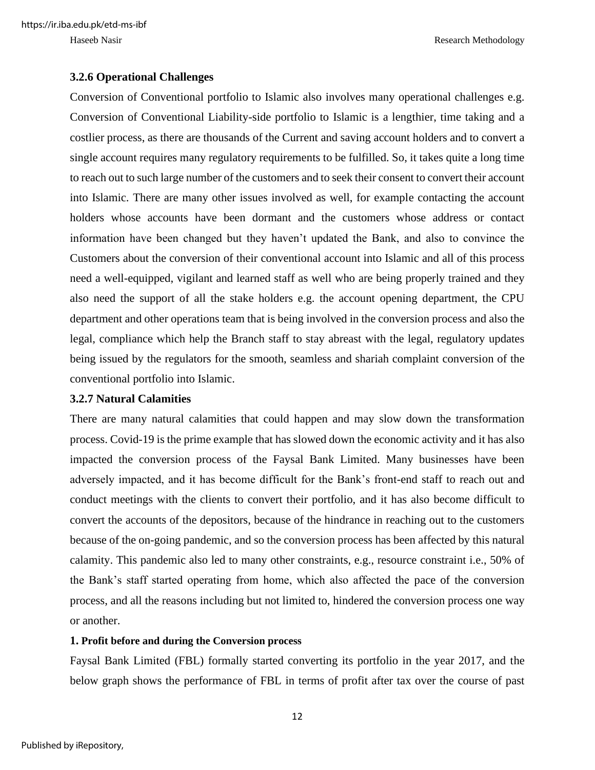https://ir.iba.edu.pk/etd-ms-ibf

Haseeb Nasir Research Methodology

#### <span id="page-18-0"></span>**3.2.6 Operational Challenges**

Conversion of Conventional portfolio to Islamic also involves many operational challenges e.g. Conversion of Conventional Liability-side portfolio to Islamic is a lengthier, time taking and a costlier process, as there are thousands of the Current and saving account holders and to convert a single account requires many regulatory requirements to be fulfilled. So, it takes quite a long time to reach out to such large number of the customers and to seek their consent to convert their account into Islamic. There are many other issues involved as well, for example contacting the account holders whose accounts have been dormant and the customers whose address or contact information have been changed but they haven't updated the Bank, and also to convince the Customers about the conversion of their conventional account into Islamic and all of this process need a well-equipped, vigilant and learned staff as well who are being properly trained and they also need the support of all the stake holders e.g. the account opening department, the CPU department and other operations team that is being involved in the conversion process and also the legal, compliance which help the Branch staff to stay abreast with the legal, regulatory updates being issued by the regulators for the smooth, seamless and shariah complaint conversion of the conventional portfolio into Islamic.

#### <span id="page-18-1"></span>**3.2.7 Natural Calamities**

There are many natural calamities that could happen and may slow down the transformation process. Covid-19 is the prime example that has slowed down the economic activity and it has also impacted the conversion process of the Faysal Bank Limited. Many businesses have been adversely impacted, and it has become difficult for the Bank's front-end staff to reach out and conduct meetings with the clients to convert their portfolio, and it has also become difficult to convert the accounts of the depositors, because of the hindrance in reaching out to the customers because of the on-going pandemic, and so the conversion process has been affected by this natural calamity. This pandemic also led to many other constraints, e.g., resource constraint i.e., 50% of the Bank's staff started operating from home, which also affected the pace of the conversion process, and all the reasons including but not limited to, hindered the conversion process one way or another.

#### **1. Profit before and during the Conversion process**

Faysal Bank Limited (FBL) formally started converting its portfolio in the year 2017, and the below graph shows the performance of FBL in terms of profit after tax over the course of past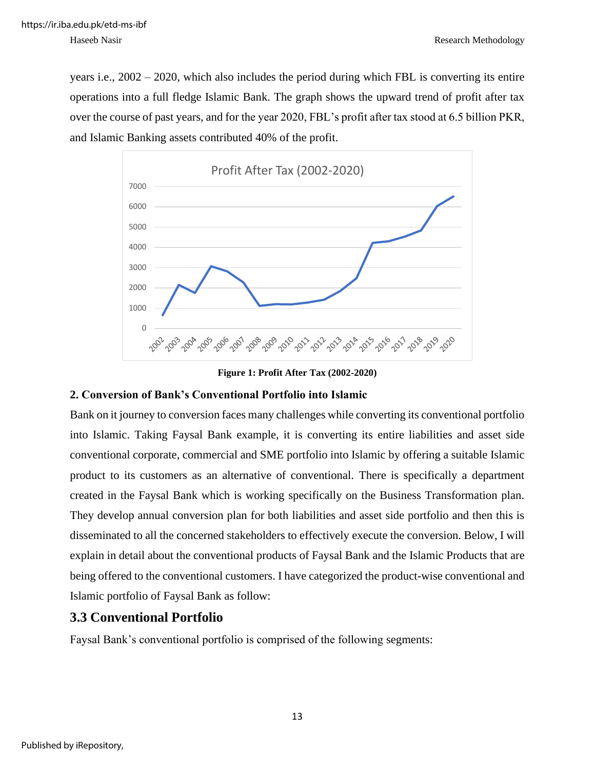years i.e., 2002 – 2020, which also includes the period during which FBL is converting its entire operations into a full fledge Islamic Bank. The graph shows the upward trend of profit after tax over the course of past years, and for the year 2020, FBL's profit after tax stood at 6.5 billion PKR, and Islamic Banking assets contributed 40% of the profit.





#### <span id="page-19-1"></span>**2. Conversion of Bank's Conventional Portfolio into Islamic**

Bank on it journey to conversion faces many challenges while converting its conventional portfolio into Islamic. Taking Faysal Bank example, it is converting its entire liabilities and asset side conventional corporate, commercial and SME portfolio into Islamic by offering a suitable Islamic product to its customers as an alternative of conventional. There is specifically a department created in the Faysal Bank which is working specifically on the Business Transformation plan. They develop annual conversion plan for both liabilities and asset side portfolio and then this is disseminated to all the concerned stakeholders to effectively execute the conversion. Below, I will explain in detail about the conventional products of Faysal Bank and the Islamic Products that are being offered to the conventional customers. I have categorized the product-wise conventional and Islamic portfolio of Faysal Bank as follow:

### <span id="page-19-0"></span>**3.3 Conventional Portfolio**

Faysal Bank's conventional portfolio is comprised of the following segments: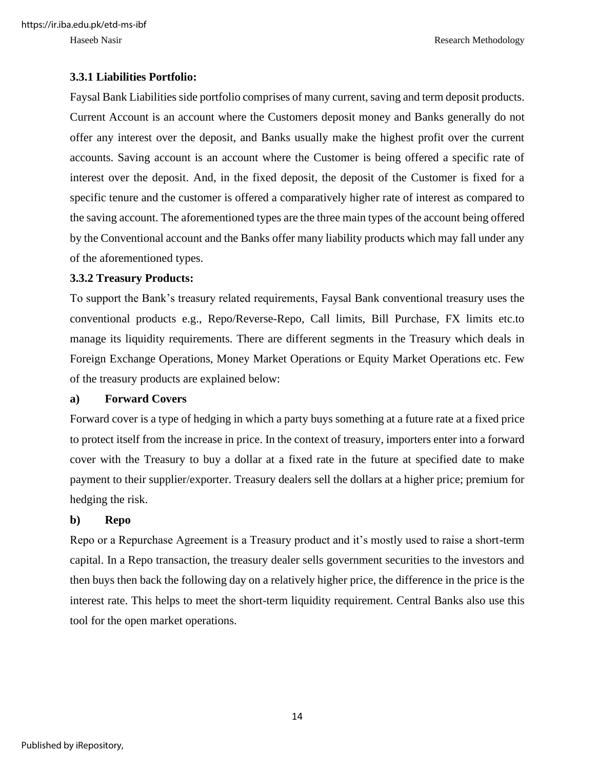#### <span id="page-20-0"></span>**3.3.1 Liabilities Portfolio:**

Faysal Bank Liabilities side portfolio comprises of many current, saving and term deposit products. Current Account is an account where the Customers deposit money and Banks generally do not offer any interest over the deposit, and Banks usually make the highest profit over the current accounts. Saving account is an account where the Customer is being offered a specific rate of interest over the deposit. And, in the fixed deposit, the deposit of the Customer is fixed for a specific tenure and the customer is offered a comparatively higher rate of interest as compared to the saving account. The aforementioned types are the three main types of the account being offered by the Conventional account and the Banks offer many liability products which may fall under any of the aforementioned types.

#### <span id="page-20-1"></span>**3.3.2 Treasury Products:**

To support the Bank's treasury related requirements, Faysal Bank conventional treasury uses the conventional products e.g., Repo/Reverse-Repo, Call limits, Bill Purchase, FX limits etc.to manage its liquidity requirements. There are different segments in the Treasury which deals in Foreign Exchange Operations, Money Market Operations or Equity Market Operations etc. Few of the treasury products are explained below:

#### **a) Forward Covers**

Forward cover is a type of hedging in which a party buys something at a future rate at a fixed price to protect itself from the increase in price. In the context of treasury, importers enter into a forward cover with the Treasury to buy a dollar at a fixed rate in the future at specified date to make payment to their supplier/exporter. Treasury dealers sell the dollars at a higher price; premium for hedging the risk.

#### **b) Repo**

Repo or a Repurchase Agreement is a Treasury product and it's mostly used to raise a short-term capital. In a Repo transaction, the treasury dealer sells government securities to the investors and then buys then back the following day on a relatively higher price, the difference in the price is the interest rate. This helps to meet the short-term liquidity requirement. Central Banks also use this tool for the open market operations.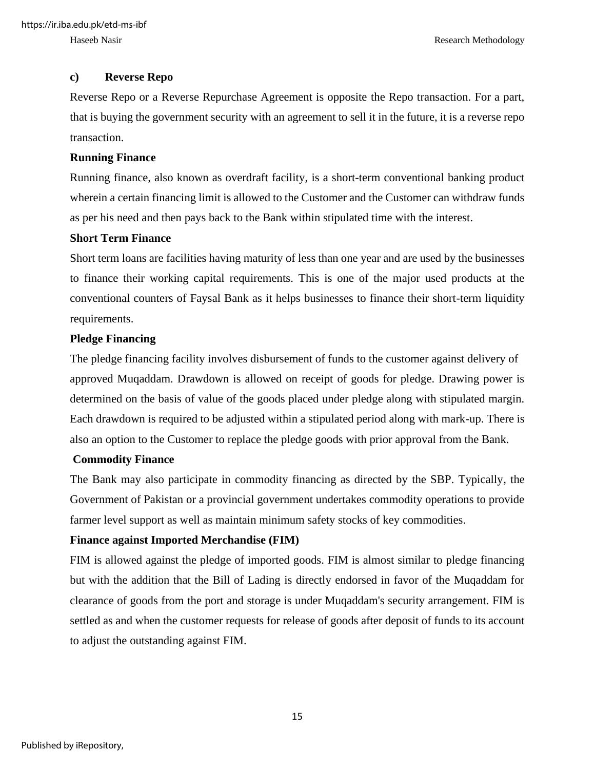#### **c) Reverse Repo**

Reverse Repo or a Reverse Repurchase Agreement is opposite the Repo transaction. For a part, that is buying the government security with an agreement to sell it in the future, it is a reverse repo transaction.

#### **Running Finance**

Running finance, also known as overdraft facility, is a short-term conventional banking product wherein a certain financing limit is allowed to the Customer and the Customer can withdraw funds as per his need and then pays back to the Bank within stipulated time with the interest.

#### **Short Term Finance**

Short term loans are facilities having maturity of less than one year and are used by the businesses to finance their working capital requirements. This is one of the major used products at the conventional counters of Faysal Bank as it helps businesses to finance their short-term liquidity requirements.

#### **Pledge Financing**

The pledge financing facility involves disbursement of funds to the customer against delivery of approved Muqaddam. Drawdown is allowed on receipt of goods for pledge. Drawing power is determined on the basis of value of the goods placed under pledge along with stipulated margin. Each drawdown is required to be adjusted within a stipulated period along with mark-up. There is also an option to the Customer to replace the pledge goods with prior approval from the Bank.

#### **Commodity Finance**

The Bank may also participate in commodity financing as directed by the SBP. Typically, the Government of Pakistan or a provincial government undertakes commodity operations to provide farmer level support as well as maintain minimum safety stocks of key commodities.

#### **Finance against Imported Merchandise (FIM)**

FIM is allowed against the pledge of imported goods. FIM is almost similar to pledge financing but with the addition that the Bill of Lading is directly endorsed in favor of the Muqaddam for clearance of goods from the port and storage is under Muqaddam's security arrangement. FIM is settled as and when the customer requests for release of goods after deposit of funds to its account to adjust the outstanding against FIM.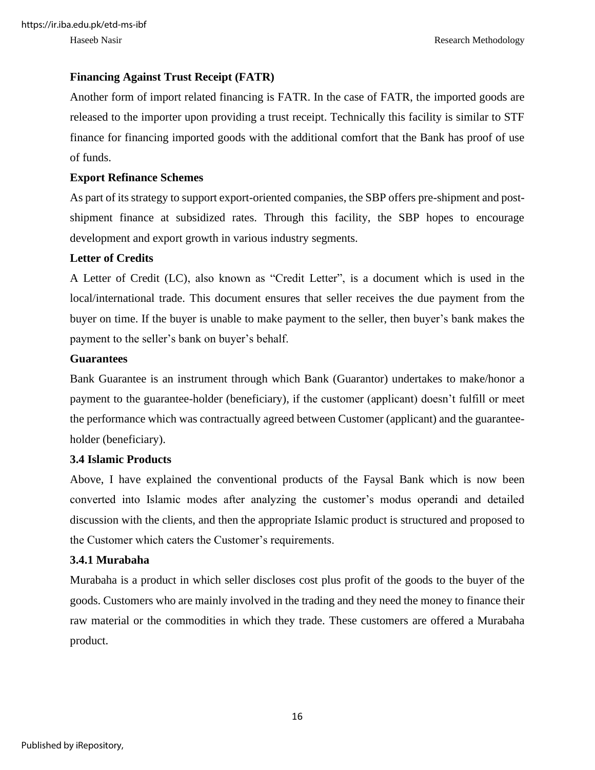#### **Financing Against Trust Receipt (FATR)**

Another form of import related financing is FATR. In the case of FATR, the imported goods are released to the importer upon providing a trust receipt. Technically this facility is similar to STF finance for financing imported goods with the additional comfort that the Bank has proof of use of funds.

#### **Export Refinance Schemes**

As part of its strategy to support export-oriented companies, the SBP offers pre-shipment and postshipment finance at subsidized rates. Through this facility, the SBP hopes to encourage development and export growth in various industry segments.

#### **Letter of Credits**

A Letter of Credit (LC), also known as "Credit Letter", is a document which is used in the local/international trade. This document ensures that seller receives the due payment from the buyer on time. If the buyer is unable to make payment to the seller, then buyer's bank makes the payment to the seller's bank on buyer's behalf.

#### **Guarantees**

Bank Guarantee is an instrument through which Bank (Guarantor) undertakes to make/honor a payment to the guarantee-holder (beneficiary), if the customer (applicant) doesn't fulfill or meet the performance which was contractually agreed between Customer (applicant) and the guaranteeholder (beneficiary).

#### <span id="page-22-0"></span>**3.4 Islamic Products**

Above, I have explained the conventional products of the Faysal Bank which is now been converted into Islamic modes after analyzing the customer's modus operandi and detailed discussion with the clients, and then the appropriate Islamic product is structured and proposed to the Customer which caters the Customer's requirements.

#### **3.4.1 Murabaha**

Murabaha is a product in which seller discloses cost plus profit of the goods to the buyer of the goods. Customers who are mainly involved in the trading and they need the money to finance their raw material or the commodities in which they trade. These customers are offered a Murabaha product.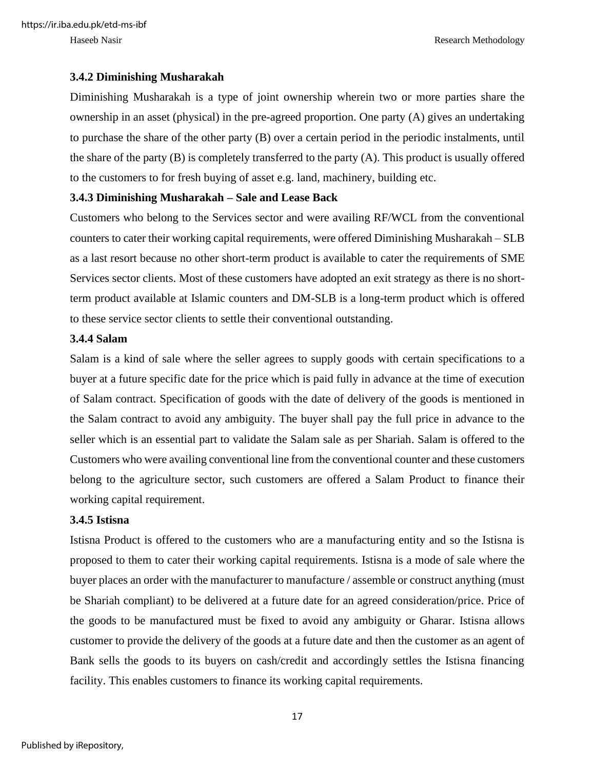#### **3.4.2 Diminishing Musharakah**

Diminishing Musharakah is a type of joint ownership wherein two or more parties share the ownership in an asset (physical) in the pre-agreed proportion. One party (A) gives an undertaking to purchase the share of the other party (B) over a certain period in the periodic instalments, until the share of the party (B) is completely transferred to the party (A). This product is usually offered to the customers to for fresh buying of asset e.g. land, machinery, building etc.

#### **3.4.3 Diminishing Musharakah – Sale and Lease Back**

Customers who belong to the Services sector and were availing RF/WCL from the conventional counters to cater their working capital requirements, were offered Diminishing Musharakah – SLB as a last resort because no other short-term product is available to cater the requirements of SME Services sector clients. Most of these customers have adopted an exit strategy as there is no shortterm product available at Islamic counters and DM-SLB is a long-term product which is offered to these service sector clients to settle their conventional outstanding.

#### **3.4.4 Salam**

Salam is a kind of sale where the seller agrees to supply goods with certain specifications to a buyer at a future specific date for the price which is paid fully in advance at the time of execution of Salam contract. Specification of goods with the date of delivery of the goods is mentioned in the Salam contract to avoid any ambiguity. The buyer shall pay the full price in advance to the seller which is an essential part to validate the Salam sale as per Shariah. Salam is offered to the Customers who were availing conventional line from the conventional counter and these customers belong to the agriculture sector, such customers are offered a Salam Product to finance their working capital requirement.

#### **3.4.5 Istisna**

Istisna Product is offered to the customers who are a manufacturing entity and so the Istisna is proposed to them to cater their working capital requirements. Istisna is a mode of sale where the buyer places an order with the manufacturer to manufacture / assemble or construct anything (must be Shariah compliant) to be delivered at a future date for an agreed consideration/price. Price of the goods to be manufactured must be fixed to avoid any ambiguity or Gharar. Istisna allows customer to provide the delivery of the goods at a future date and then the customer as an agent of Bank sells the goods to its buyers on cash/credit and accordingly settles the Istisna financing facility. This enables customers to finance its working capital requirements.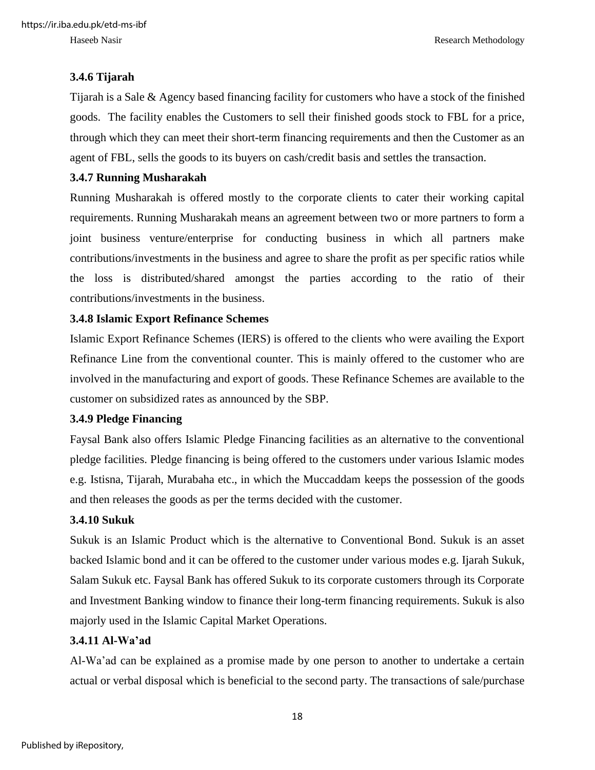#### **3.4.6 Tijarah**

Tijarah is a Sale & Agency based financing facility for customers who have a stock of the finished goods. The facility enables the Customers to sell their finished goods stock to FBL for a price, through which they can meet their short-term financing requirements and then the Customer as an agent of FBL, sells the goods to its buyers on cash/credit basis and settles the transaction.

#### **3.4.7 Running Musharakah**

Running Musharakah is offered mostly to the corporate clients to cater their working capital requirements. Running Musharakah means an agreement between two or more partners to form a joint business venture/enterprise for conducting business in which all partners make contributions/investments in the business and agree to share the profit as per specific ratios while the loss is distributed/shared amongst the parties according to the ratio of their contributions/investments in the business.

#### **3.4.8 Islamic Export Refinance Schemes**

Islamic Export Refinance Schemes (IERS) is offered to the clients who were availing the Export Refinance Line from the conventional counter. This is mainly offered to the customer who are involved in the manufacturing and export of goods. These Refinance Schemes are available to the customer on subsidized rates as announced by the SBP.

#### **3.4.9 Pledge Financing**

Faysal Bank also offers Islamic Pledge Financing facilities as an alternative to the conventional pledge facilities. Pledge financing is being offered to the customers under various Islamic modes e.g. Istisna, Tijarah, Murabaha etc., in which the Muccaddam keeps the possession of the goods and then releases the goods as per the terms decided with the customer.

#### **3.4.10 Sukuk**

Sukuk is an Islamic Product which is the alternative to Conventional Bond. Sukuk is an asset backed Islamic bond and it can be offered to the customer under various modes e.g. Ijarah Sukuk, Salam Sukuk etc. Faysal Bank has offered Sukuk to its corporate customers through its Corporate and Investment Banking window to finance their long-term financing requirements. Sukuk is also majorly used in the Islamic Capital Market Operations.

#### **3.4.11 Al-Wa'ad**

Al-Wa'ad can be explained as a promise made by one person to another to undertake a certain actual or verbal disposal which is beneficial to the second party. The transactions of sale/purchase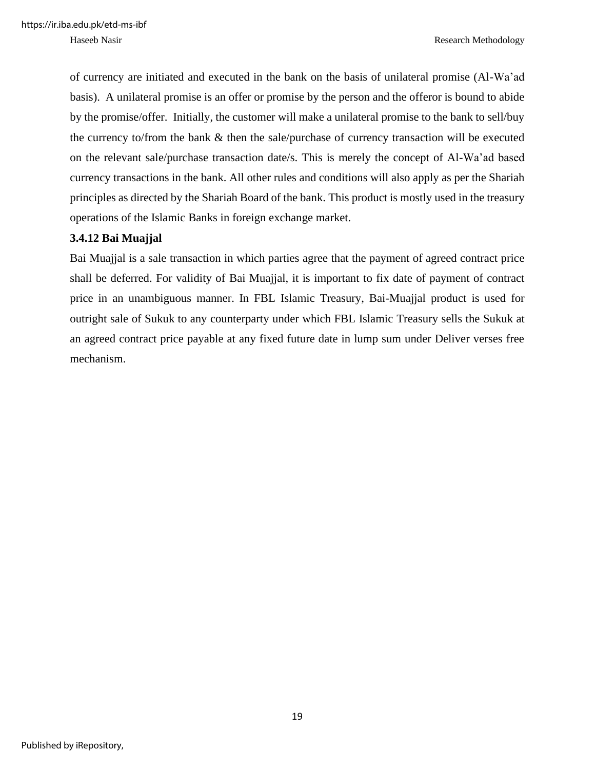of currency are initiated and executed in the bank on the basis of unilateral promise (Al-Wa'ad basis). A unilateral promise is an offer or promise by the person and the offeror is bound to abide by the promise/offer. Initially, the customer will make a unilateral promise to the bank to sell/buy the currency to/from the bank & then the sale/purchase of currency transaction will be executed on the relevant sale/purchase transaction date/s. This is merely the concept of Al-Wa'ad based currency transactions in the bank. All other rules and conditions will also apply as per the Shariah principles as directed by the Shariah Board of the bank. This product is mostly used in the treasury operations of the Islamic Banks in foreign exchange market.

#### **3.4.12 Bai Muajjal**

Bai Muajjal is a sale transaction in which parties agree that the payment of agreed contract price shall be deferred. For validity of Bai Muajjal, it is important to fix date of payment of contract price in an unambiguous manner. In FBL Islamic Treasury, Bai-Muajjal product is used for outright sale of Sukuk to any counterparty under which FBL Islamic Treasury sells the Sukuk at an agreed contract price payable at any fixed future date in lump sum under Deliver verses free mechanism.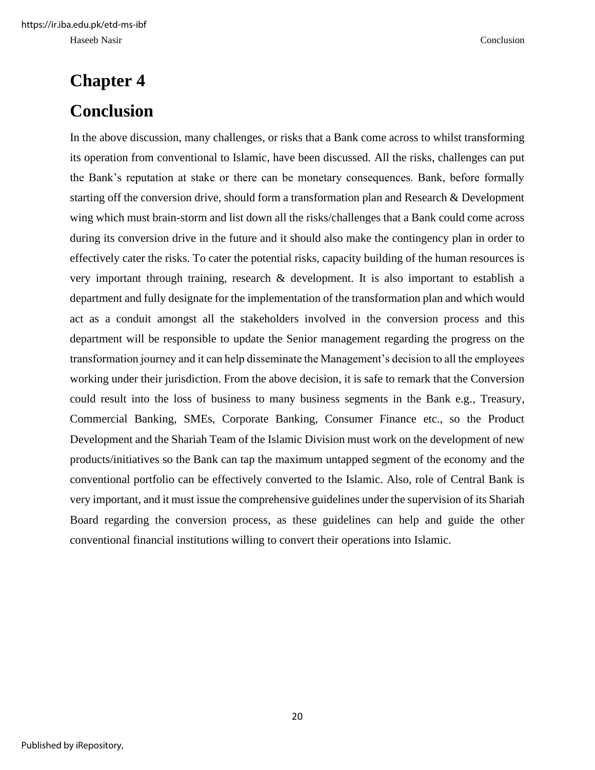# <span id="page-26-1"></span><span id="page-26-0"></span>**Chapter 4 Conclusion**

In the above discussion, many challenges, or risks that a Bank come across to whilst transforming its operation from conventional to Islamic, have been discussed. All the risks, challenges can put the Bank's reputation at stake or there can be monetary consequences. Bank, before formally starting off the conversion drive, should form a transformation plan and Research & Development wing which must brain-storm and list down all the risks/challenges that a Bank could come across during its conversion drive in the future and it should also make the contingency plan in order to effectively cater the risks. To cater the potential risks, capacity building of the human resources is very important through training, research & development. It is also important to establish a department and fully designate for the implementation of the transformation plan and which would act as a conduit amongst all the stakeholders involved in the conversion process and this department will be responsible to update the Senior management regarding the progress on the transformation journey and it can help disseminate the Management's decision to all the employees working under their jurisdiction. From the above decision, it is safe to remark that the Conversion could result into the loss of business to many business segments in the Bank e.g., Treasury, Commercial Banking, SMEs, Corporate Banking, Consumer Finance etc., so the Product Development and the Shariah Team of the Islamic Division must work on the development of new products/initiatives so the Bank can tap the maximum untapped segment of the economy and the conventional portfolio can be effectively converted to the Islamic. Also, role of Central Bank is very important, and it must issue the comprehensive guidelines under the supervision of its Shariah Board regarding the conversion process, as these guidelines can help and guide the other conventional financial institutions willing to convert their operations into Islamic.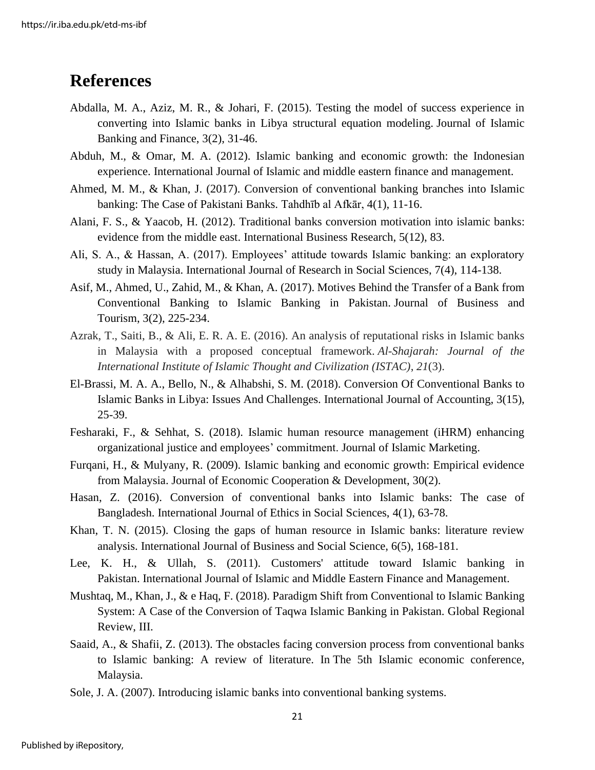### <span id="page-27-0"></span>**References**

- Abdalla, M. A., Aziz, M. R., & Johari, F. (2015). Testing the model of success experience in converting into Islamic banks in Libya structural equation modeling. Journal of Islamic Banking and Finance, 3(2), 31-46.
- Abduh, M., & Omar, M. A. (2012). Islamic banking and economic growth: the Indonesian experience. International Journal of Islamic and middle eastern finance and management.
- Ahmed, M. M., & Khan, J. (2017). Conversion of conventional banking branches into Islamic banking: The Case of Pakistani Banks. Tahdhīb al Afkār, 4(1), 11-16.
- Alani, F. S., & Yaacob, H. (2012). Traditional banks conversion motivation into islamic banks: evidence from the middle east. International Business Research, 5(12), 83.
- Ali, S. A., & Hassan, A. (2017). Employees' attitude towards Islamic banking: an exploratory study in Malaysia. International Journal of Research in Social Sciences, 7(4), 114-138.
- Asif, M., Ahmed, U., Zahid, M., & Khan, A. (2017). Motives Behind the Transfer of a Bank from Conventional Banking to Islamic Banking in Pakistan. Journal of Business and Tourism, 3(2), 225-234.
- Azrak, T., Saiti, B., & Ali, E. R. A. E. (2016). An analysis of reputational risks in Islamic banks in Malaysia with a proposed conceptual framework. *Al-Shajarah: Journal of the International Institute of Islamic Thought and Civilization (ISTAC)*, *21*(3).
- El-Brassi, M. A. A., Bello, N., & Alhabshi, S. M. (2018). Conversion Of Conventional Banks to Islamic Banks in Libya: Issues And Challenges. International Journal of Accounting, 3(15), 25-39.
- Fesharaki, F., & Sehhat, S. (2018). Islamic human resource management (iHRM) enhancing organizational justice and employees' commitment. Journal of Islamic Marketing.
- Furqani, H., & Mulyany, R. (2009). Islamic banking and economic growth: Empirical evidence from Malaysia. Journal of Economic Cooperation & Development, 30(2).
- Hasan, Z. (2016). Conversion of conventional banks into Islamic banks: The case of Bangladesh. International Journal of Ethics in Social Sciences, 4(1), 63-78.
- Khan, T. N. (2015). Closing the gaps of human resource in Islamic banks: literature review analysis. International Journal of Business and Social Science, 6(5), 168-181.
- Lee, K. H., & Ullah, S. (2011). Customers' attitude toward Islamic banking in Pakistan. International Journal of Islamic and Middle Eastern Finance and Management.
- Mushtaq, M., Khan, J., & e Haq, F. (2018). Paradigm Shift from Conventional to Islamic Banking System: A Case of the Conversion of Taqwa Islamic Banking in Pakistan. Global Regional Review, III.
- Saaid, A., & Shafii, Z. (2013). The obstacles facing conversion process from conventional banks to Islamic banking: A review of literature. In The 5th Islamic economic conference, Malaysia.
- Sole, J. A. (2007). Introducing islamic banks into conventional banking systems.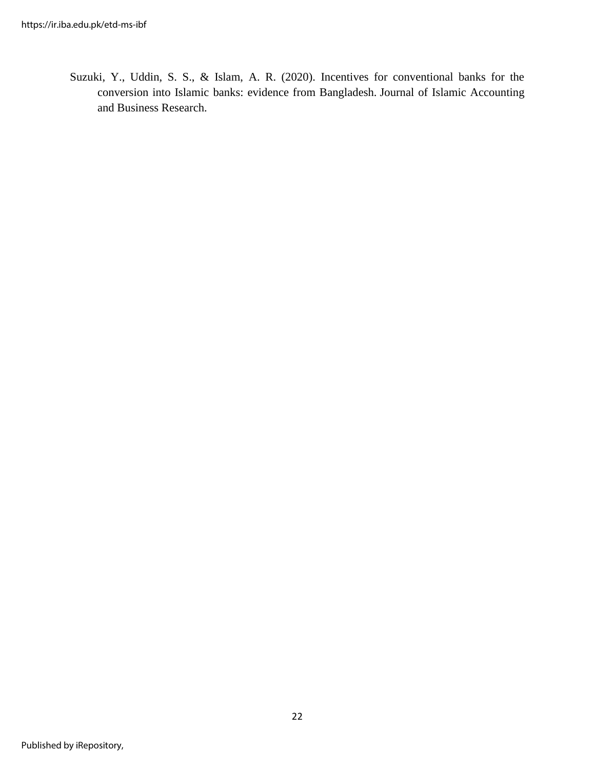Suzuki, Y., Uddin, S. S., & Islam, A. R. (2020). Incentives for conventional banks for the conversion into Islamic banks: evidence from Bangladesh. Journal of Islamic Accounting and Business Research.